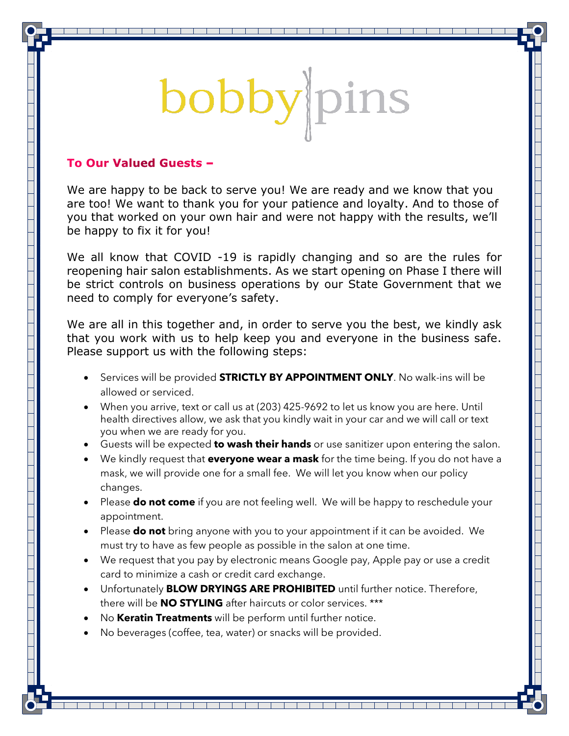## bobby pins

## To Our Valued Guests -

We are happy to be back to serve you! We are ready and we know that you are too! We want to thank you for your patience and loyalty. And to those of you that worked on your own hair and were not happy with the results, we'll be happy to fix it for you!

We all know that COVID -19 is rapidly changing and so are the rules for reopening hair salon establishments. As we start opening on Phase I there will be strict controls on business operations by our State Government that we need to comply for everyone's safety.

We are all in this together and, in order to serve you the best, we kindly ask that you work with us to help keep you and everyone in the business safe. Please support us with the following steps:

- Services will be provided **STRICTLY BY APPOINTMENT ONLY**. No walk-ins will be allowed or serviced.
- When you arrive, text or call us at (203) 425-9692 to let us know you are here. Until health directives allow, we ask that you kindly wait in your car and we will call or text you when we are ready for you.
- Guests will be expected **to wash their hands** or use sanitizer upon entering the salon.
- We kindly request that **everyone wear a mask** for the time being. If you do not have a mask, we will provide one for a small fee. We will let you know when our policy changes.
- Please **do not come** if you are not feeling well. We will be happy to reschedule your appointment.
- Please **do not** bring anyone with you to your appointment if it can be avoided. We must try to have as few people as possible in the salon at one time.
- We request that you pay by electronic means Google pay, Apple pay or use a credit card to minimize a cash or credit card exchange.

<u> Tantan dan bahasa dari sebagai dan bagian dan bagian dan bagian dan bagian dan bagian dan bagian dan bagian da</u>

- Unfortunately **BLOW DRYINGS ARE PROHIBITED** until further notice. Therefore, there will be **NO STYLING** after haircuts or color services. \*\*\*
- No **Keratin Treatments** will be perform until further notice.
- No beverages (coffee, tea, water) or snacks will be provided.

an an Taobhailte agus an t-